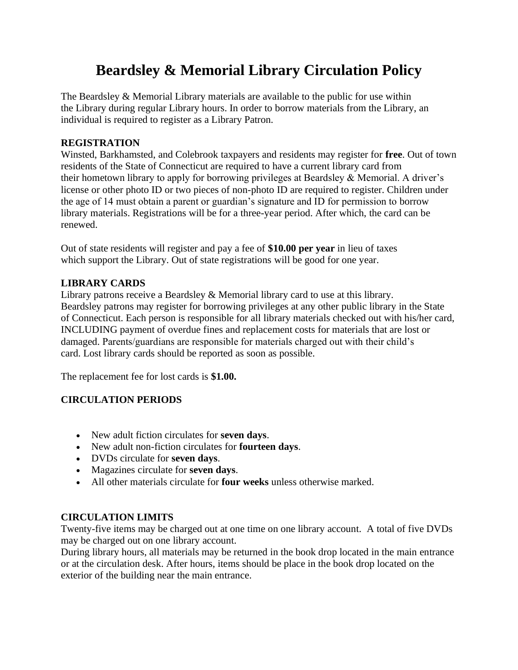# **Beardsley & Memorial Library Circulation Policy**

The Beardsley & Memorial Library materials are available to the public for use within the Library during regular Library hours. In order to borrow materials from the Library, an individual is required to register as a Library Patron.

### **REGISTRATION**

Winsted, Barkhamsted, and Colebrook taxpayers and residents may register for **free**. Out of town residents of the State of Connecticut are required to have a current library card from their hometown library to apply for borrowing privileges at Beardsley & Memorial. A driver's license or other photo ID or two pieces of non-photo ID are required to register. Children under the age of 14 must obtain a parent or guardian's signature and ID for permission to borrow library materials. Registrations will be for a three-year period. After which, the card can be renewed.

Out of state residents will register and pay a fee of **\$10.00 per year** in lieu of taxes which support the Library. Out of state registrations will be good for one year.

# **LIBRARY CARDS**

Library patrons receive a Beardsley & Memorial library card to use at this library. Beardsley patrons may register for borrowing privileges at any other public library in the State of Connecticut. Each person is responsible for all library materials checked out with his/her card, INCLUDING payment of overdue fines and replacement costs for materials that are lost or damaged. Parents/guardians are responsible for materials charged out with their child's card. Lost library cards should be reported as soon as possible.

The replacement fee for lost cards is **\$1.00.**

# **CIRCULATION PERIODS**

- New adult fiction circulates for **seven days**.
- New adult non-fiction circulates for **fourteen days**.
- DVDs circulate for **seven days**.
- Magazines circulate for **seven days**.
- All other materials circulate for **four weeks** unless otherwise marked.

# **CIRCULATION LIMITS**

Twenty-five items may be charged out at one time on one library account. A total of five DVDs may be charged out on one library account.

During library hours, all materials may be returned in the book drop located in the main entrance or at the circulation desk. After hours, items should be place in the book drop located on the exterior of the building near the main entrance.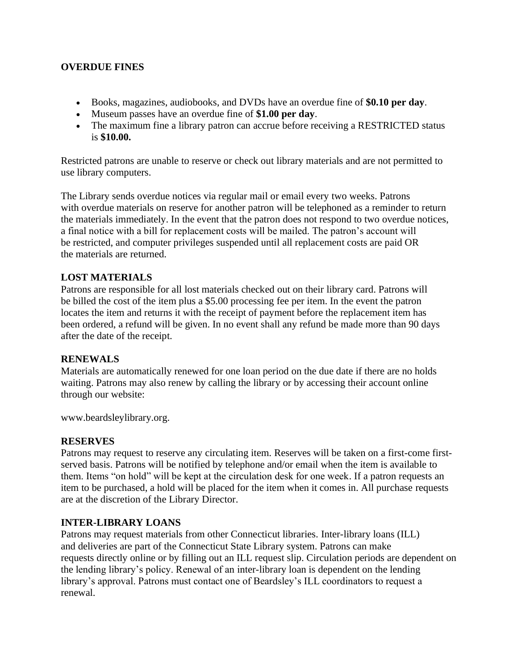#### **OVERDUE FINES**

- Books, magazines, audiobooks, and DVDs have an overdue fine of **\$0.10 per day**.
- Museum passes have an overdue fine of **\$1.00 per day**.
- The maximum fine a library patron can accrue before receiving a RESTRICTED status is **\$10.00.**

Restricted patrons are unable to reserve or check out library materials and are not permitted to use library computers.

The Library sends overdue notices via regular mail or email every two weeks. Patrons with overdue materials on reserve for another patron will be telephoned as a reminder to return the materials immediately. In the event that the patron does not respond to two overdue notices, a final notice with a bill for replacement costs will be mailed. The patron's account will be restricted, and computer privileges suspended until all replacement costs are paid OR the materials are returned.

#### **LOST MATERIALS**

Patrons are responsible for all lost materials checked out on their library card. Patrons will be billed the cost of the item plus a \$5.00 processing fee per item. In the event the patron locates the item and returns it with the receipt of payment before the replacement item has been ordered, a refund will be given. In no event shall any refund be made more than 90 days after the date of the receipt.

#### **RENEWALS**

Materials are automatically renewed for one loan period on the due date if there are no holds waiting. Patrons may also renew by calling the library or by accessing their account online through our website:

www.beardsleylibrary.org.

#### **RESERVES**

Patrons may request to reserve any circulating item. Reserves will be taken on a first-come firstserved basis. Patrons will be notified by telephone and/or email when the item is available to them. Items "on hold" will be kept at the circulation desk for one week. If a patron requests an item to be purchased, a hold will be placed for the item when it comes in. All purchase requests are at the discretion of the Library Director.

#### **INTER-LIBRARY LOANS**

Patrons may request materials from other Connecticut libraries. Inter-library loans (ILL) and deliveries are part of the Connecticut State Library system. Patrons can make requests directly online or by filling out an ILL request slip. Circulation periods are dependent on the lending library's policy. Renewal of an inter-library loan is dependent on the lending library's approval. Patrons must contact one of Beardsley's ILL coordinators to request a renewal.